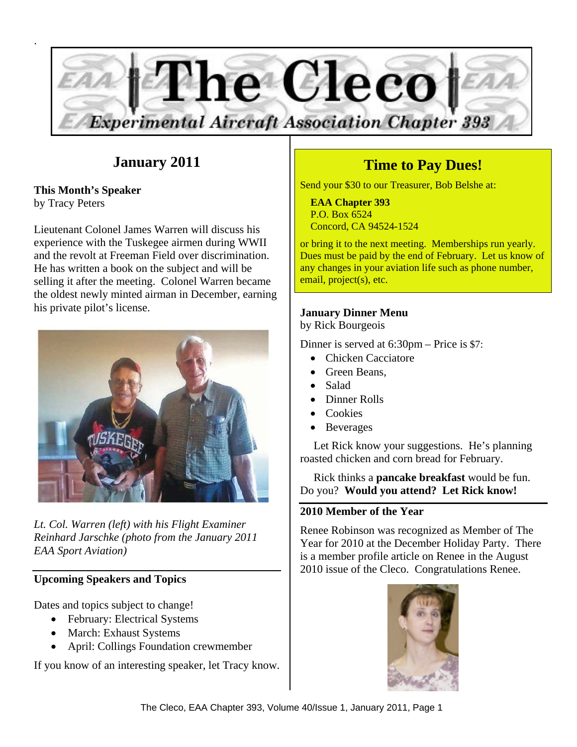

## **January 2011**

**This Month's Speaker**  by Tracy Peters

Lieutenant Colonel James Warren will discuss his experience with the Tuskegee airmen during WWII and the revolt at Freeman Field over discrimination. He has written a book on the subject and will be selling it after the meeting. Colonel Warren became the oldest newly minted airman in December, earning his private pilot's license.



*Lt. Col. Warren (left) with his Flight Examiner Reinhard Jarschke (photo from the January 2011 EAA Sport Aviation)* 

### **Upcoming Speakers and Topics**

Dates and topics subject to change!

- February: Electrical Systems
- March: Exhaust Systems
- April: Collings Foundation crewmember

If you know of an interesting speaker, let Tracy know.

# **Time to Pay Dues!**

Send your \$30 to our Treasurer, Bob Belshe at:

 **EAA Chapter 393**  P.O. Box 6524 Concord, CA 94524-1524

or bring it to the next meeting. Memberships run yearly. Dues must be paid by the end of February. Let us know of any changes in your aviation life such as phone number, email, project(s), etc.

## **January Dinner Menu**

by Rick Bourgeois

Dinner is served at 6:30pm – Price is \$7:

- Chicken Cacciatore
- Green Beans,
- Salad
- Dinner Rolls
- Cookies
- Beverages

Let Rick know your suggestions. He's planning roasted chicken and corn bread for February.

Rick thinks a **pancake breakfast** would be fun. Do you? **Would you attend? Let Rick know!** 

## **2010 Member of the Year**

Renee Robinson was recognized as Member of The Year for 2010 at the December Holiday Party. There is a member profile article on Renee in the August 2010 issue of the Cleco. Congratulations Renee.

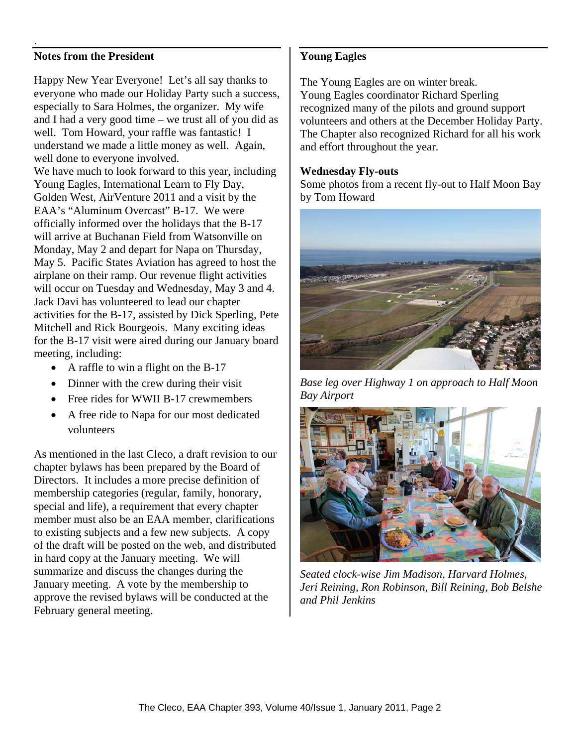### **Notes from the President**

.

Happy New Year Everyone! Let's all say thanks to everyone who made our Holiday Party such a success, especially to Sara Holmes, the organizer. My wife and I had a very good time – we trust all of you did as well. Tom Howard, your raffle was fantastic! I understand we made a little money as well. Again, well done to everyone involved.

We have much to look forward to this year, including Young Eagles, International Learn to Fly Day, Golden West, AirVenture 2011 and a visit by the EAA's "Aluminum Overcast" B-17. We were officially informed over the holidays that the B-17 will arrive at Buchanan Field from Watsonville on Monday, May 2 and depart for Napa on Thursday, May 5. Pacific States Aviation has agreed to host the airplane on their ramp. Our revenue flight activities will occur on Tuesday and Wednesday, May 3 and 4. Jack Davi has volunteered to lead our chapter activities for the B-17, assisted by Dick Sperling, Pete Mitchell and Rick Bourgeois. Many exciting ideas for the B-17 visit were aired during our January board meeting, including:

- A raffle to win a flight on the B-17
- Dinner with the crew during their visit
- Free rides for WWII B-17 crewmembers
- A free ride to Napa for our most dedicated volunteers

As mentioned in the last Cleco, a draft revision to our chapter bylaws has been prepared by the Board of Directors. It includes a more precise definition of membership categories (regular, family, honorary, special and life), a requirement that every chapter member must also be an EAA member, clarifications to existing subjects and a few new subjects. A copy of the draft will be posted on the web, and distributed in hard copy at the January meeting. We will summarize and discuss the changes during the January meeting. A vote by the membership to approve the revised bylaws will be conducted at the February general meeting.

### **Young Eagles**

The Young Eagles are on winter break. Young Eagles coordinator Richard Sperling recognized many of the pilots and ground support volunteers and others at the December Holiday Party. The Chapter also recognized Richard for all his work and effort throughout the year.

#### **Wednesday Fly-outs**

Some photos from a recent fly-out to Half Moon Bay by Tom Howard



*Base leg over Highway 1 on approach to Half Moon Bay Airport* 



*Seated clock-wise Jim Madison, Harvard Holmes, Jeri Reining, Ron Robinson, Bill Reining, Bob Belshe and Phil Jenkins*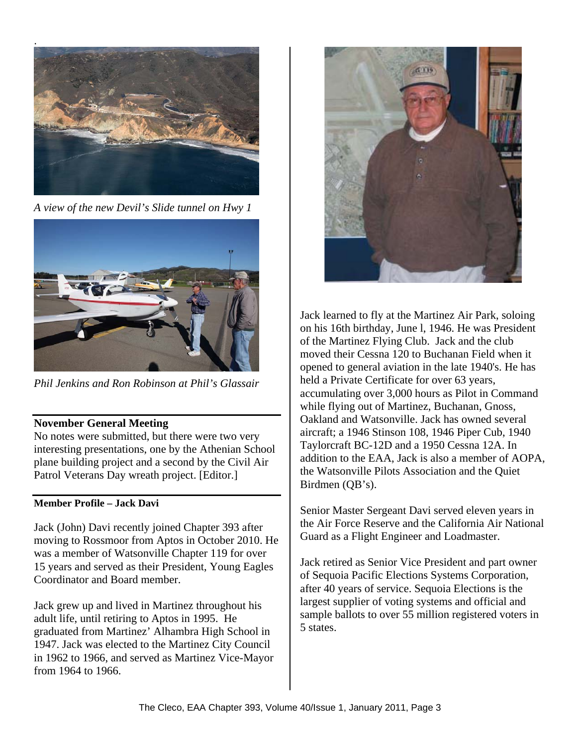

*A view of the new Devil's Slide tunnel on Hwy 1* 



*Phil Jenkins and Ron Robinson at Phil's Glassair* 

### **November General Meeting**

No notes were submitted, but there were two very interesting presentations, one by the Athenian School plane building project and a second by the Civil Air Patrol Veterans Day wreath project. [Editor.]

### **Member Profile – Jack Davi**

Jack (John) Davi recently joined Chapter 393 after moving to Rossmoor from Aptos in October 2010. He was a member of Watsonville Chapter 119 for over 15 years and served as their President, Young Eagles Coordinator and Board member.

Jack grew up and lived in Martinez throughout his adult life, until retiring to Aptos in 1995. He graduated from Martinez' Alhambra High School in 1947. Jack was elected to the Martinez City Council in 1962 to 1966, and served as Martinez Vice-Mayor from 1964 to 1966.



Jack learned to fly at the Martinez Air Park, soloing on his 16th birthday, June l, 1946. He was President of the Martinez Flying Club. Jack and the club moved their Cessna 120 to Buchanan Field when it opened to general aviation in the late 1940's. He has held a Private Certificate for over 63 years, accumulating over 3,000 hours as Pilot in Command while flying out of Martinez, Buchanan, Gnoss, Oakland and Watsonville. Jack has owned several aircraft; a 1946 Stinson 108, 1946 Piper Cub, 1940 Taylorcraft BC-12D and a 1950 Cessna 12A. In addition to the EAA, Jack is also a member of AOPA, the Watsonville Pilots Association and the Quiet Birdmen (QB's).

Senior Master Sergeant Davi served eleven years in the Air Force Reserve and the California Air National Guard as a Flight Engineer and Loadmaster.

Jack retired as Senior Vice President and part owner of Sequoia Pacific Elections Systems Corporation, after 40 years of service. Sequoia Elections is the largest supplier of voting systems and official and sample ballots to over 55 million registered voters in 5 states.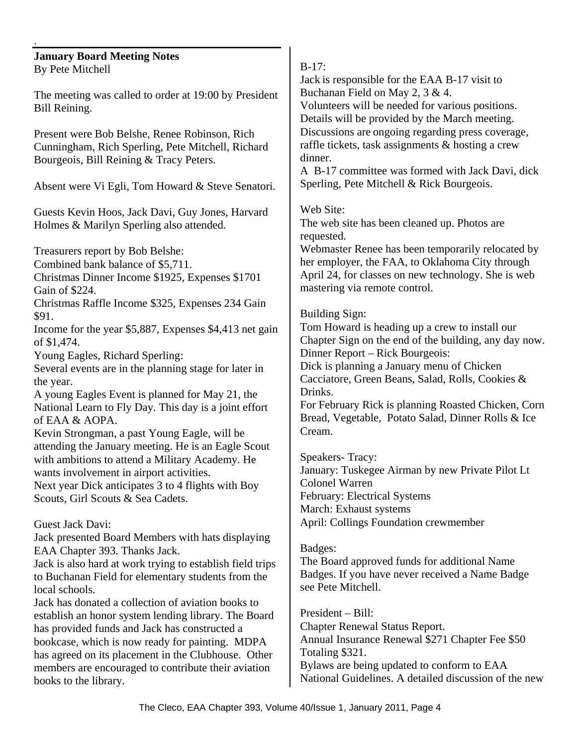#### **January Board Meeting Notes**  By Pete Mitchell

.

The meeting was called to order at 19:00 by President Bill Reining.

Present were Bob Belshe, Renee Robinson, Rich Cunningham, Rich Sperling, Pete Mitchell, Richard Bourgeois, Bill Reining & Tracy Peters.

Absent were Vi Egli, Tom Howard & Steve Senatori.

Guests Kevin Hoos, Jack Davi, Guy Jones, Harvard Holmes & Marilyn Sperling also attended.

Treasurers report by Bob Belshe:

Combined bank balance of \$5,711.

Christmas Dinner Income \$1925, Expenses \$1701 Gain of \$224.

Christmas Raffle Income \$325, Expenses 234 Gain \$91.

Income for the year \$5,887, Expenses \$4,413 net gain of \$1,474.

Young Eagles, Richard Sperling:

Several events are in the planning stage for later in the year.

A young Eagles Event is planned for May 21, the National Learn to Fly Day. This day is a joint effort of EAA & AOPA.

Kevin Strongman, a past Young Eagle, will be attending the January meeting. He is an Eagle Scout with ambitions to attend a Military Academy. He wants involvement in airport activities. Next year Dick anticipates 3 to 4 flights with Boy

Scouts, Girl Scouts & Sea Cadets.

## Guest Jack Davi:

Jack presented Board Members with hats displaying EAA Chapter 393. Thanks Jack.

Jack is also hard at work trying to establish field trips to Buchanan Field for elementary students from the local schools.

Jack has donated a collection of aviation books to establish an honor system lending library. The Board has provided funds and Jack has constructed a bookcase, which is now ready for painting. MDPA has agreed on its placement in the Clubhouse. Other members are encouraged to contribute their aviation books to the library.

### B-17:

Jack is responsible for the EAA B-17 visit to Buchanan Field on May 2, 3 & 4. Volunteers will be needed for various positions. Details will be provided by the March meeting.

Discussions are ongoing regarding press coverage, raffle tickets, task assignments & hosting a crew dinner.

A B-17 committee was formed with Jack Davi, dick Sperling, Pete Mitchell & Rick Bourgeois.

Web Site:

The web site has been cleaned up. Photos are requested.

Webmaster Renee has been temporarily relocated by her employer, the FAA, to Oklahoma City through April 24, for classes on new technology. She is web mastering via remote control.

## Building Sign:

Tom Howard is heading up a crew to install our Chapter Sign on the end of the building, any day now. Dinner Report – Rick Bourgeois:

Dick is planning a January menu of Chicken Cacciatore, Green Beans, Salad, Rolls, Cookies & Drinks.

For February Rick is planning Roasted Chicken, Corn Bread, Vegetable, Potato Salad, Dinner Rolls & Ice Cream.

Speakers- Tracy: January: Tuskegee Airman by new Private Pilot Lt Colonel Warren February: Electrical Systems March: Exhaust systems April: Collings Foundation crewmember

### Badges:

The Board approved funds for additional Name Badges. If you have never received a Name Badge see Pete Mitchell.

President – Bill: Chapter Renewal Status Report. Annual Insurance Renewal \$271 Chapter Fee \$50 Totaling \$321. Bylaws are being updated to conform to EAA National Guidelines. A detailed discussion of the new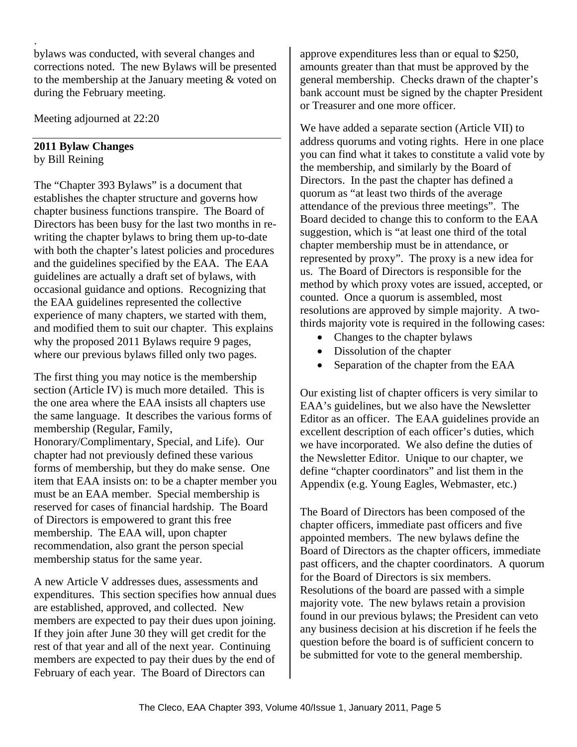bylaws was conducted, with several changes and corrections noted. The new Bylaws will be presented to the membership at the January meeting & voted on during the February meeting.

Meeting adjourned at 22:20

## **2011 Bylaw Changes**

by Bill Reining

.

The "Chapter 393 Bylaws" is a document that establishes the chapter structure and governs how chapter business functions transpire. The Board of Directors has been busy for the last two months in rewriting the chapter bylaws to bring them up-to-date with both the chapter's latest policies and procedures and the guidelines specified by the EAA. The EAA guidelines are actually a draft set of bylaws, with occasional guidance and options. Recognizing that the EAA guidelines represented the collective experience of many chapters, we started with them, and modified them to suit our chapter. This explains why the proposed 2011 Bylaws require 9 pages, where our previous bylaws filled only two pages.

The first thing you may notice is the membership section (Article IV) is much more detailed. This is the one area where the EAA insists all chapters use the same language. It describes the various forms of membership (Regular, Family,

Honorary/Complimentary, Special, and Life). Our chapter had not previously defined these various forms of membership, but they do make sense. One item that EAA insists on: to be a chapter member you must be an EAA member. Special membership is reserved for cases of financial hardship. The Board of Directors is empowered to grant this free membership. The EAA will, upon chapter recommendation, also grant the person special membership status for the same year.

A new Article V addresses dues, assessments and expenditures. This section specifies how annual dues are established, approved, and collected. New members are expected to pay their dues upon joining. If they join after June 30 they will get credit for the rest of that year and all of the next year. Continuing members are expected to pay their dues by the end of February of each year. The Board of Directors can

approve expenditures less than or equal to \$250, amounts greater than that must be approved by the general membership. Checks drawn of the chapter's bank account must be signed by the chapter President or Treasurer and one more officer.

We have added a separate section (Article VII) to address quorums and voting rights. Here in one place you can find what it takes to constitute a valid vote by the membership, and similarly by the Board of Directors. In the past the chapter has defined a quorum as "at least two thirds of the average attendance of the previous three meetings". The Board decided to change this to conform to the EAA suggestion, which is "at least one third of the total chapter membership must be in attendance, or represented by proxy". The proxy is a new idea for us. The Board of Directors is responsible for the method by which proxy votes are issued, accepted, or counted. Once a quorum is assembled, most resolutions are approved by simple majority. A twothirds majority vote is required in the following cases:

- Changes to the chapter bylaws
- Dissolution of the chapter
- Separation of the chapter from the EAA

Our existing list of chapter officers is very similar to EAA's guidelines, but we also have the Newsletter Editor as an officer. The EAA guidelines provide an excellent description of each officer's duties, which we have incorporated. We also define the duties of the Newsletter Editor. Unique to our chapter, we define "chapter coordinators" and list them in the Appendix (e.g. Young Eagles, Webmaster, etc.)

The Board of Directors has been composed of the chapter officers, immediate past officers and five appointed members. The new bylaws define the Board of Directors as the chapter officers, immediate past officers, and the chapter coordinators. A quorum for the Board of Directors is six members. Resolutions of the board are passed with a simple majority vote. The new bylaws retain a provision found in our previous bylaws; the President can veto any business decision at his discretion if he feels the question before the board is of sufficient concern to be submitted for vote to the general membership.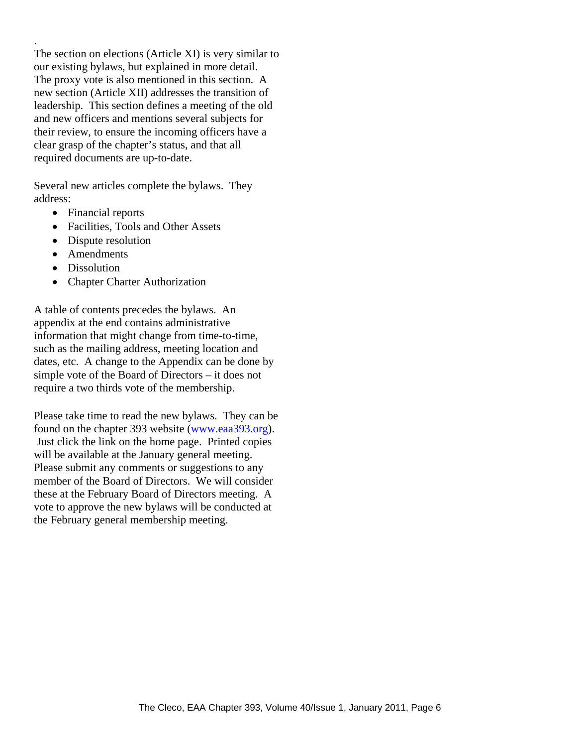The section on elections (Article XI) is very similar to our existing bylaws, but explained in more detail. The proxy vote is also mentioned in this section. A new section (Article XII) addresses the transition of leadership. This section defines a meeting of the old and new officers and mentions several subjects for their review, to ensure the incoming officers have a clear grasp of the chapter's status, and that all required documents are up-to-date.

Several new articles complete the bylaws. They address:

- Financial reports
- Facilities, Tools and Other Assets
- Dispute resolution
- Amendments
- Dissolution

.

• Chapter Charter Authorization

A table of contents precedes the bylaws. An appendix at the end contains administrative information that might change from time-to-time, such as the mailing address, meeting location and dates, etc. A change to the Appendix can be done by simple vote of the Board of Directors – it does not require a two thirds vote of the membership.

Please take time to read the new bylaws. They can be found on the chapter 393 website (www.eaa393.org). Just click the link on the home page. Printed copies will be available at the January general meeting. Please submit any comments or suggestions to any member of the Board of Directors. We will consider these at the February Board of Directors meeting. A vote to approve the new bylaws will be conducted at the February general membership meeting.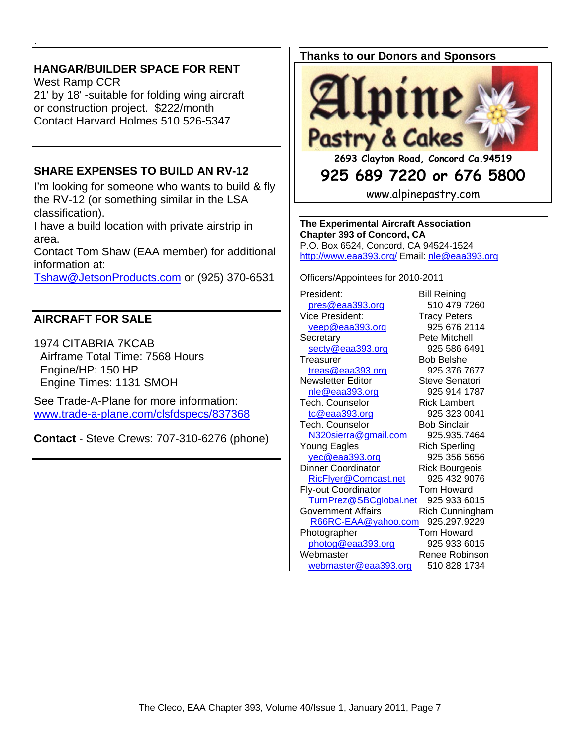## **HANGAR/BUILDER SPACE FOR RENT**

.

West Ramp CCR 21' by 18' -suitable for folding wing aircraft or construction project. \$222/month Contact Harvard Holmes 510 526-5347

## **SHARE EXPENSES TO BUILD AN RV-12**

I'm looking for someone who wants to build & fly the RV-12 (or something similar in the LSA classification).

I have a build location with private airstrip in area.

Contact Tom Shaw (EAA member) for additional information at:

Tshaw@JetsonProducts.com or (925) 370-6531

## **AIRCRAFT FOR SALE**

1974 CITABRIA 7KCAB Airframe Total Time: 7568 Hours Engine/HP: 150 HP Engine Times: 1131 SMOH

See Trade-A-Plane for more information: www.trade-a-plane.com/clsfdspecs/837368

**Contact** - Steve Crews: 707-310-6276 (phone)

#### **Thanks to our Donors and Sponsors**



## **925 689 7220 or 676 5800**

www.alpinepastry.com

**The Experimental Aircraft Association Chapter 393 of Concord, CA**  P.O. Box 6524, Concord, CA 94524-1524 http://www.eaa393.org/ Email: nle@eaa393.org

Officers/Appointees for 2010-2011

President: Bill Reining pres@eaa393.org 510 479 7260 Vice President: Tracy Peters veep@eaa393.org 925 676 2114 Secretary **Pete Mitchell** secty@eaa393.org 925 586 6491 Treasurer Bob Belshe treas@eaa393.org 925 376 7677 Newsletter Editor **Steve Senatori** nle@eaa393.org 925 914 1787 Tech. Counselor Rick Lambert tc@eaa393.org 925 323 0041 Tech. Counselor Bob Sinclair N320sierra@gmail.com 925.935.7464 Young Eagles Rich Sperling yec@eaa393.org 925 356 5656 Dinner Coordinator Rick Bourgeois RicFlyer@Comcast.net 925 432 9076 Fly-out Coordinator Tom Howard TurnPrez@SBCglobal.net 925 933 6015 Government Affairs **Rich Cunningham**  R66RC-EAA@yahoo.com 925.297.9229 Photographer **Tom Howard** photog@eaa393.org 925 933 6015 Webmaster Renee Robinson webmaster@eaa393.org 510 828 1734